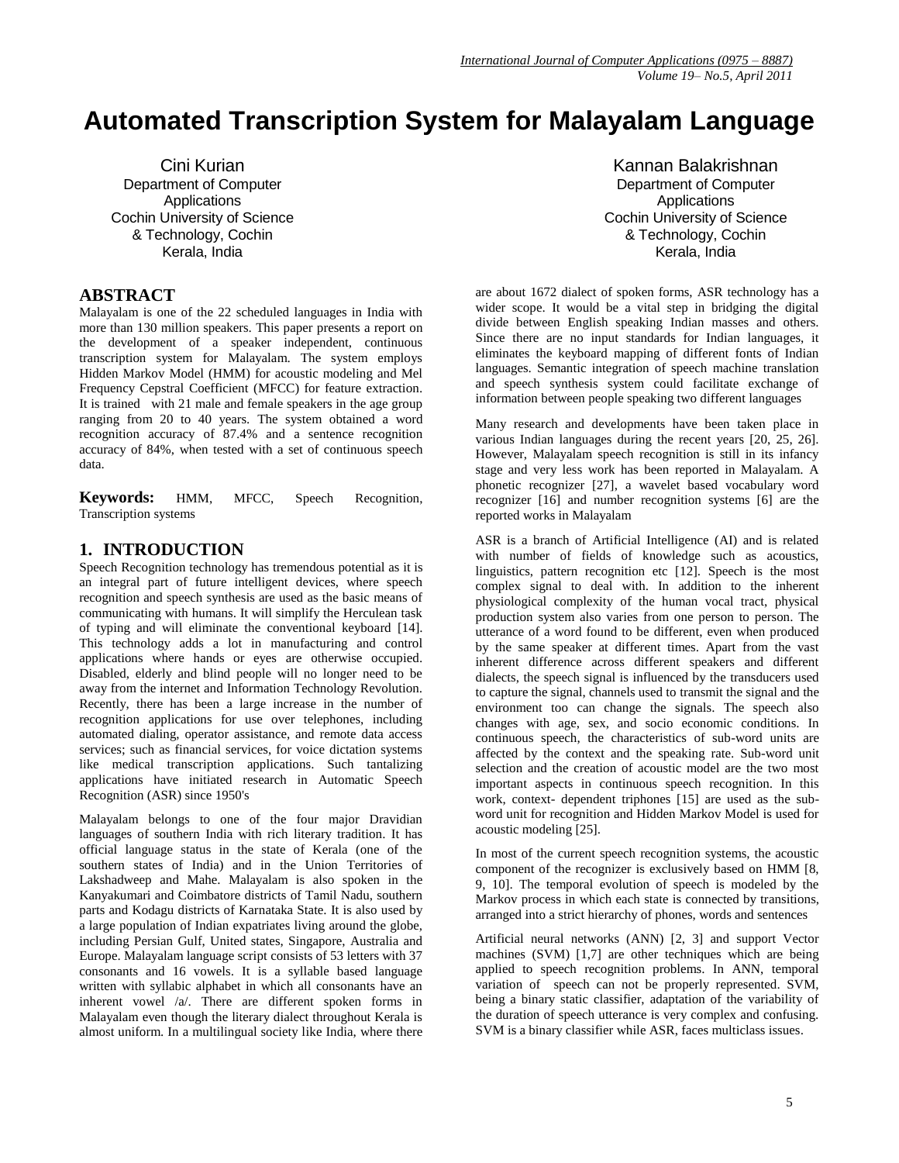# **Automated Transcription System for Malayalam Language**

Cini Kurian Department of Computer Applications Cochin University of Science & Technology, Cochin Kerala, India

#### **ABSTRACT**

Malayalam is one of the 22 scheduled languages in India with more than 130 million speakers. This paper presents a report on the development of a speaker independent, continuous transcription system for Malayalam. The system employs Hidden Markov Model (HMM) for acoustic modeling and Mel Frequency Cepstral Coefficient (MFCC) for feature extraction. It is trained with 21 male and female speakers in the age group ranging from 20 to 40 years. The system obtained a word recognition accuracy of 87.4% and a sentence recognition accuracy of 84%, when tested with a set of continuous speech data.

**Keywords:** HMM, MFCC, Speech Recognition, Transcription systems

#### **1. INTRODUCTION**

Speech Recognition technology has tremendous potential as it is an integral part of future intelligent devices, where speech recognition and speech synthesis are used as the basic means of communicating with humans. It will simplify the Herculean task of typing and will eliminate the conventional keyboard [14]. This technology adds a lot in manufacturing and control applications where hands or eyes are otherwise occupied. Disabled, elderly and blind people will no longer need to be away from the internet and Information Technology Revolution. Recently, there has been a large increase in the number of recognition applications for use over telephones, including automated dialing, operator assistance, and remote data access services; such as financial services, for voice dictation systems like medical transcription applications. Such tantalizing applications have initiated research in Automatic Speech Recognition (ASR) since 1950's

Malayalam belongs to one of the four major Dravidian languages of southern India with rich literary tradition. It has official language status in the state of Kerala (one of the southern states of India) and in the Union Territories of Lakshadweep and Mahe. Malayalam is also spoken in the Kanyakumari and Coimbatore districts of Tamil Nadu, southern parts and Kodagu districts of Karnataka State. It is also used by a large population of Indian expatriates living around the globe, including Persian Gulf, United states, Singapore, Australia and Europe. Malayalam language script consists of 53 letters with 37 consonants and 16 vowels. It is a syllable based language written with syllabic alphabet in which all consonants have an inherent vowel /a/. There are different spoken forms in Malayalam even though the literary dialect throughout Kerala is almost uniform. In a multilingual society like India, where there

Kannan Balakrishnan Department of Computer Applications Cochin University of Science & Technology, Cochin Kerala, India

are about 1672 dialect of spoken forms, ASR technology has a wider scope. It would be a vital step in bridging the digital divide between English speaking Indian masses and others. Since there are no input standards for Indian languages, it eliminates the keyboard mapping of different fonts of Indian languages. Semantic integration of speech machine translation and speech synthesis system could facilitate exchange of information between people speaking two different languages

Many research and developments have been taken place in various Indian languages during the recent years [20, 25, 26]. However, Malayalam speech recognition is still in its infancy stage and very less work has been reported in Malayalam. A phonetic recognizer [27], a wavelet based vocabulary word recognizer [16] and number recognition systems [6] are the reported works in Malayalam

ASR is a branch of Artificial Intelligence (AI) and is related with number of fields of knowledge such as acoustics, linguistics, pattern recognition etc [12]. Speech is the most complex signal to deal with. In addition to the inherent physiological complexity of the human vocal tract, physical production system also varies from one person to person. The utterance of a word found to be different, even when produced by the same speaker at different times. Apart from the vast inherent difference across different speakers and different dialects, the speech signal is influenced by the transducers used to capture the signal, channels used to transmit the signal and the environment too can change the signals. The speech also changes with age, sex, and socio economic conditions. In continuous speech, the characteristics of sub-word units are affected by the context and the speaking rate. Sub-word unit selection and the creation of acoustic model are the two most important aspects in continuous speech recognition. In this work, context- dependent triphones [15] are used as the subword unit for recognition and Hidden Markov Model is used for acoustic modeling [25].

In most of the current speech recognition systems, the acoustic component of the recognizer is exclusively based on HMM [8, 9, 10]. The temporal evolution of speech is modeled by the Markov process in which each state is connected by transitions, arranged into a strict hierarchy of phones, words and sentences

Artificial neural networks (ANN) [2, 3] and support Vector machines (SVM) [1,7] are other techniques which are being applied to speech recognition problems. In ANN, temporal variation of speech can not be properly represented. SVM, being a binary static classifier, adaptation of the variability of the duration of speech utterance is very complex and confusing. SVM is a binary classifier while ASR, faces multiclass issues.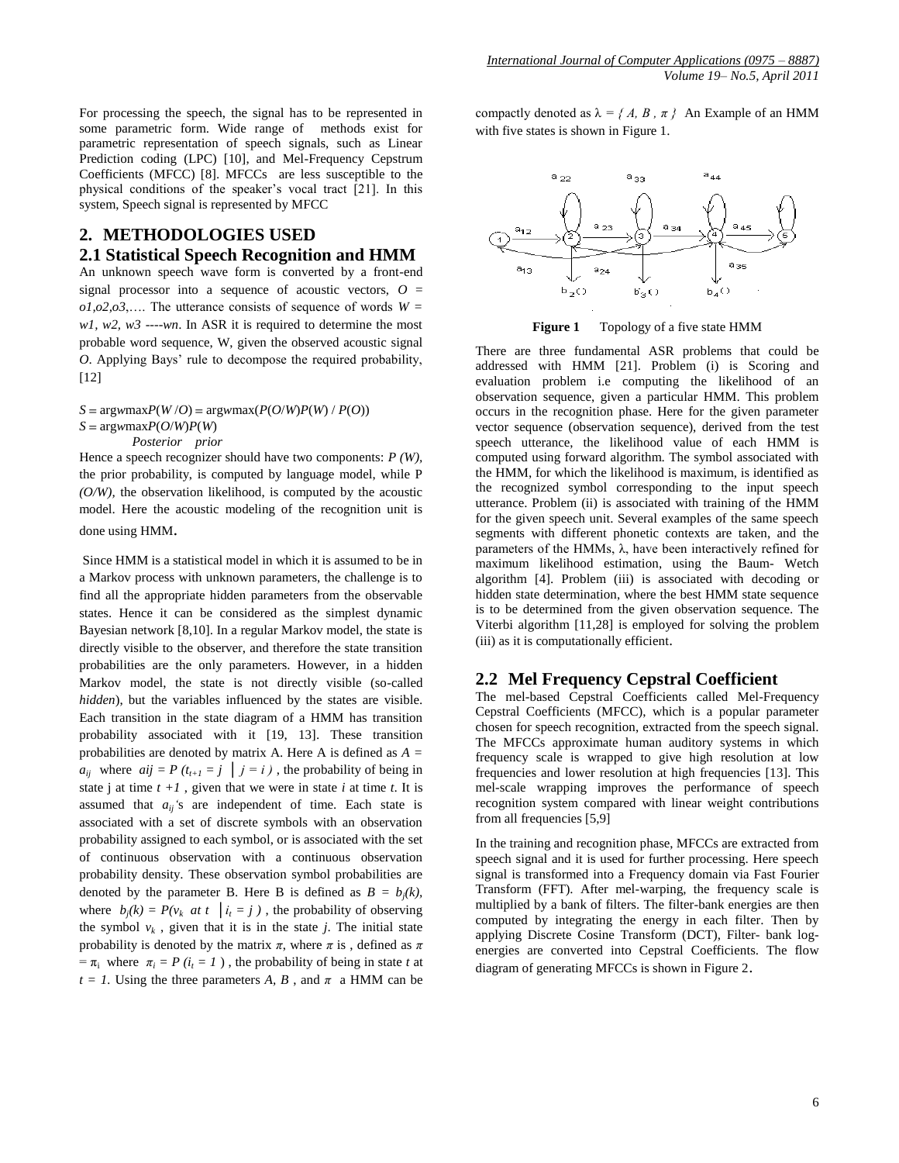For processing the speech, the signal has to be represented in some parametric form. Wide range of methods exist for parametric representation of speech signals, such as Linear Prediction coding (LPC) [10], and Mel-Frequency Cepstrum Coefficients (MFCC) [8]. MFCCs are less susceptible to the physical conditions of the speaker's vocal tract [21]. In this system, Speech signal is represented by MFCC

#### **2. METHODOLOGIES USED**

#### **2.1 Statistical Speech Recognition and HMM**

An unknown speech wave form is converted by a front-end signal processor into a sequence of acoustic vectors, *O* =  $o1, o2, o3, \ldots$  The utterance consists of sequence of words  $W =$ *w1, w2, w3 ----wn*. In ASR it is required to determine the most probable word sequence, W, given the observed acoustic signal *O*. Applying Bays' rule to decompose the required probability, [12]

 $S = \text{arg}w \text{max} P(W/O) = \text{arg}w \text{max} (P(O/W) P(W) / P(O))$  $S = \text{argwmax}P(O/W)P(W)$  *Posterior prior*

Hence a speech recognizer should have two components: *P (W),*  the prior probability, is computed by language model, while P *(O/W),* the observation likelihood, is computed by the acoustic model. Here the acoustic modeling of the recognition unit is done using HMM.

Since HMM is a statistical model in which it is assumed to be in a Markov process with unknown parameters, the challenge is to find all the appropriate hidden parameters from the observable states. Hence it can be considered as the simplest dynamic Bayesian network [8,10]. In a regular Markov model, the state is directly visible to the observer, and therefore the state transition probabilities are the only parameters. However, in a hidden Markov model, the state is not directly visible (so-called *hidden*), but the variables influenced by the states are visible. Each transition in the state diagram of a HMM has transition probability associated with it [19, 13]. These transition probabilities are denoted by matrix A. Here A is defined as *A =*   $a_{ij}$  where  $aij = P(t_{t+1} = j \mid j = i)$ , the probability of being in state j at time  $t +1$ , given that we were in state *i* at time *t*. It is assumed that  $a_{ii}$ 's are independent of time. Each state is associated with a set of discrete symbols with an observation probability assigned to each symbol, or is associated with the set of continuous observation with a continuous observation probability density. These observation symbol probabilities are denoted by the parameter B. Here B is defined as  $B = b_j(k)$ , where  $b_j(k) = P(v_k \text{ at } t \mid i_t = j)$ , the probability of observing the symbol  $v_k$ , given that it is in the state *j*. The initial state probability is denoted by the matrix  $\pi$ , where  $\pi$  is, defined as  $\pi$  $= \pi$ <sup>*i*</sup> where  $\pi$ <sup>*i*</sup> = *P* ( $i$ <sup>*i*</sup> = *I*), the probability of being in state *t* at  $t = 1$ . Using the three parameters *A*, *B*, and  $\pi$  a HMM can be

compactly denoted as  $\lambda = \{A, B, \pi\}$  An Example of an HMM with five states is shown in Figure 1.



**Figure 1** Topology of a five state HMM

There are three fundamental ASR problems that could be addressed with HMM [21]. Problem (i) is Scoring and evaluation problem i.e computing the likelihood of an observation sequence, given a particular HMM. This problem occurs in the recognition phase. Here for the given parameter vector sequence (observation sequence), derived from the test speech utterance, the likelihood value of each HMM is computed using forward algorithm. The symbol associated with the HMM, for which the likelihood is maximum, is identified as the recognized symbol corresponding to the input speech utterance. Problem (ii) is associated with training of the HMM for the given speech unit. Several examples of the same speech segments with different phonetic contexts are taken, and the parameters of the HMMs,  $\lambda$ , have been interactively refined for maximum likelihood estimation, using the Baum- Wetch algorithm [4]. Problem (iii) is associated with decoding or hidden state determination, where the best HMM state sequence is to be determined from the given observation sequence. The Viterbi algorithm [11,28] is employed for solving the problem (iii) as it is computationally efficient.

#### **2.2 Mel Frequency Cepstral Coefficient**

The mel-based Cepstral Coefficients called Mel-Frequency Cepstral Coefficients (MFCC), which is a popular parameter chosen for speech recognition, extracted from the speech signal. The MFCCs approximate human auditory systems in which frequency scale is wrapped to give high resolution at low frequencies and lower resolution at high frequencies [13]. This mel-scale wrapping improves the performance of speech recognition system compared with linear weight contributions from all frequencies [5,9]

In the training and recognition phase, MFCCs are extracted from speech signal and it is used for further processing. Here speech signal is transformed into a Frequency domain via Fast Fourier Transform (FFT). After mel-warping, the frequency scale is multiplied by a bank of filters. The filter-bank energies are then computed by integrating the energy in each filter. Then by applying Discrete Cosine Transform (DCT), Filter- bank logenergies are converted into Cepstral Coefficients. The flow diagram of generating MFCCs is shown in Figure 2.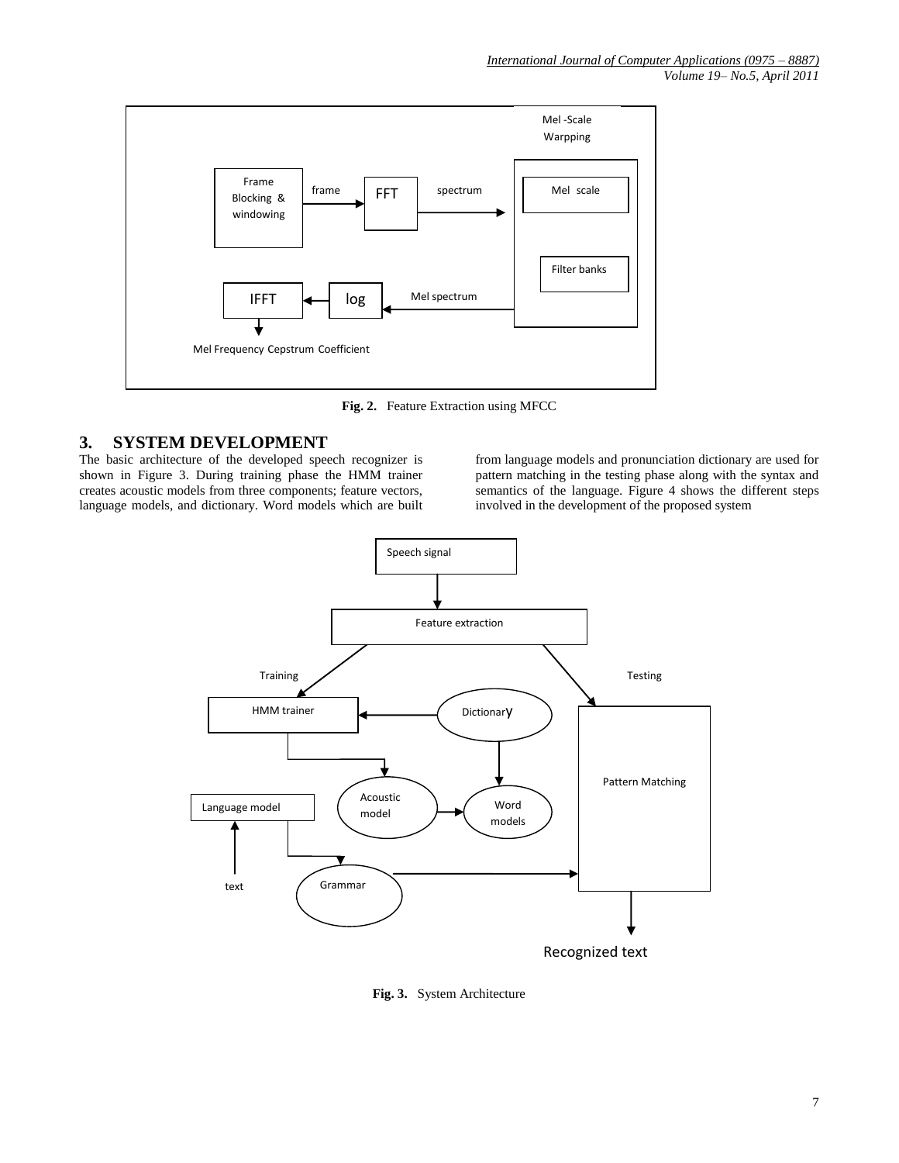

**Fig. 2.** Feature Extraction using MFCC

## **3. SYSTEM DEVELOPMENT**

The basic architecture of the developed speech recognizer is shown in Figure 3. During training phase the HMM trainer creates acoustic models from three components; feature vectors, language models, and dictionary. Word models which are built

from language models and pronunciation dictionary are used for pattern matching in the testing phase along with the syntax and semantics of the language. Figure 4 shows the different steps involved in the development of the proposed system



**Fig. 3.** System Architecture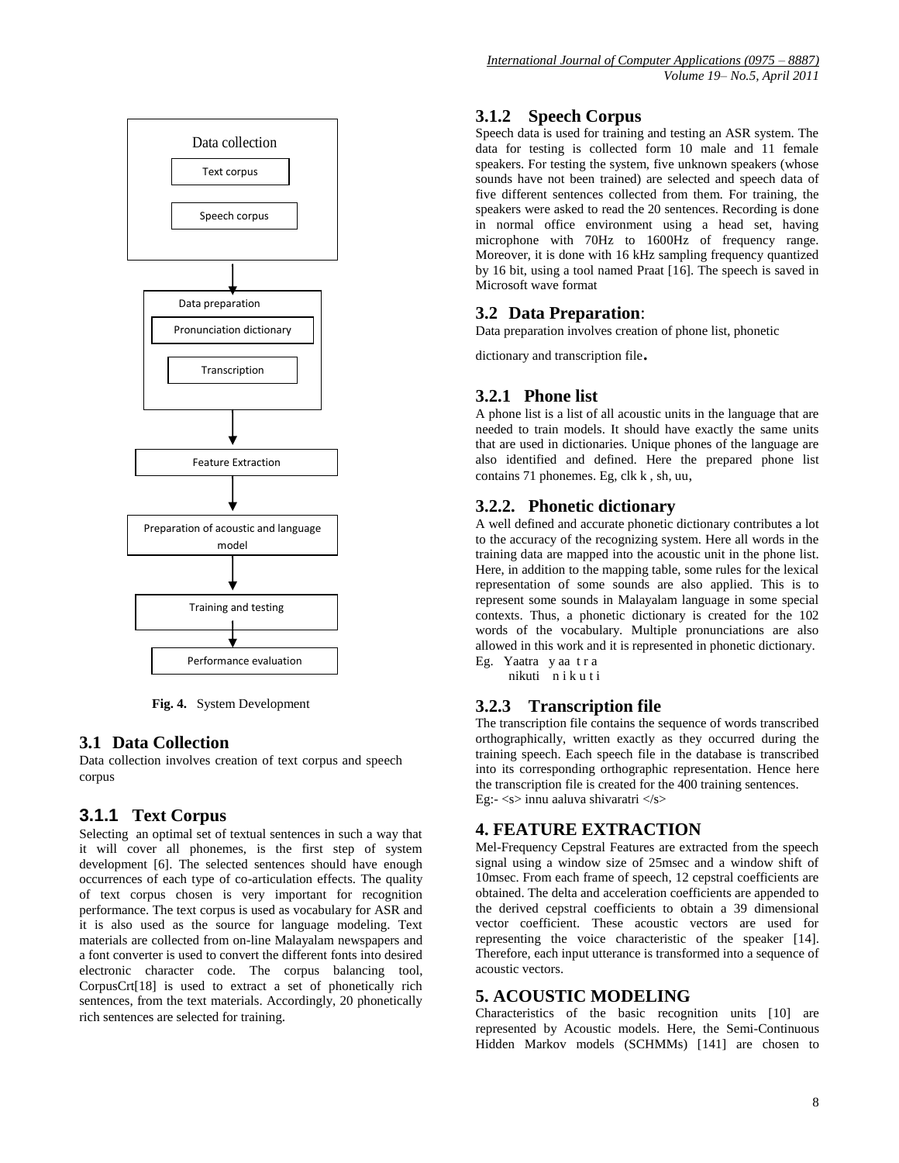

 **Fig. 4.** System Development

#### **3.1 Data Collection**

Data collection involves creation of text corpus and speech corpus

#### **3.1.1 Text Corpus**

Selecting an optimal set of textual sentences in such a way that it will cover all phonemes, is the first step of system development [6]. The selected sentences should have enough occurrences of each type of co-articulation effects. The quality of text corpus chosen is very important for recognition performance. The text corpus is used as vocabulary for ASR and it is also used as the source for language modeling. Text materials are collected from on-line Malayalam newspapers and a font converter is used to convert the different fonts into desired electronic character code. The corpus balancing tool, CorpusCrt[18] is used to extract a set of phonetically rich sentences, from the text materials. Accordingly, 20 phonetically rich sentences are selected for training*.*

#### **3.1.2 Speech Corpus**

Speech data is used for training and testing an ASR system. The data for testing is collected form 10 male and 11 female speakers. For testing the system, five unknown speakers (whose sounds have not been trained) are selected and speech data of five different sentences collected from them. For training, the speakers were asked to read the 20 sentences. Recording is done in normal office environment using a head set, having microphone with 70Hz to 1600Hz of frequency range. Moreover, it is done with 16 kHz sampling frequency quantized by 16 bit, using a tool named Praat [16]. The speech is saved in Microsoft wave format

#### **3.2 Data Preparation**:

Data preparation involves creation of phone list, phonetic

dictionary and transcription file.

## **3.2.1 Phone list**

A phone list is a list of all acoustic units in the language that are needed to train models. It should have exactly the same units that are used in dictionaries. Unique phones of the language are also identified and defined. Here the prepared phone list contains 71 phonemes. Eg, clk k , sh, uu,

## **3.2.2. Phonetic dictionary**

A well defined and accurate phonetic dictionary contributes a lot to the accuracy of the recognizing system. Here all words in the training data are mapped into the acoustic unit in the phone list. Here, in addition to the mapping table, some rules for the lexical representation of some sounds are also applied. This is to represent some sounds in Malayalam language in some special contexts. Thus, a phonetic dictionary is created for the 102 words of the vocabulary. Multiple pronunciations are also allowed in this work and it is represented in phonetic dictionary. Eg. Yaatra y aa t r a

nikuti n i k u t i

## **3.2.3 Transcription file**

The transcription file contains the sequence of words transcribed orthographically, written exactly as they occurred during the training speech. Each speech file in the database is transcribed into its corresponding orthographic representation. Hence here the transcription file is created for the 400 training sentences. Eg:-  $\langle s \rangle$  innu aaluva shivaratri  $\langle s \rangle$ 

#### **4. FEATURE EXTRACTION**

Mel-Frequency Cepstral Features are extracted from the speech signal using a window size of 25msec and a window shift of 10msec. From each frame of speech, 12 cepstral coefficients are obtained. The delta and acceleration coefficients are appended to the derived cepstral coefficients to obtain a 39 dimensional vector coefficient. These acoustic vectors are used for representing the voice characteristic of the speaker [14]. Therefore, each input utterance is transformed into a sequence of acoustic vectors.

#### **5. ACOUSTIC MODELING**

Characteristics of the basic recognition units [10] are represented by Acoustic models. Here, the Semi-Continuous Hidden Markov models (SCHMMs) [141] are chosen to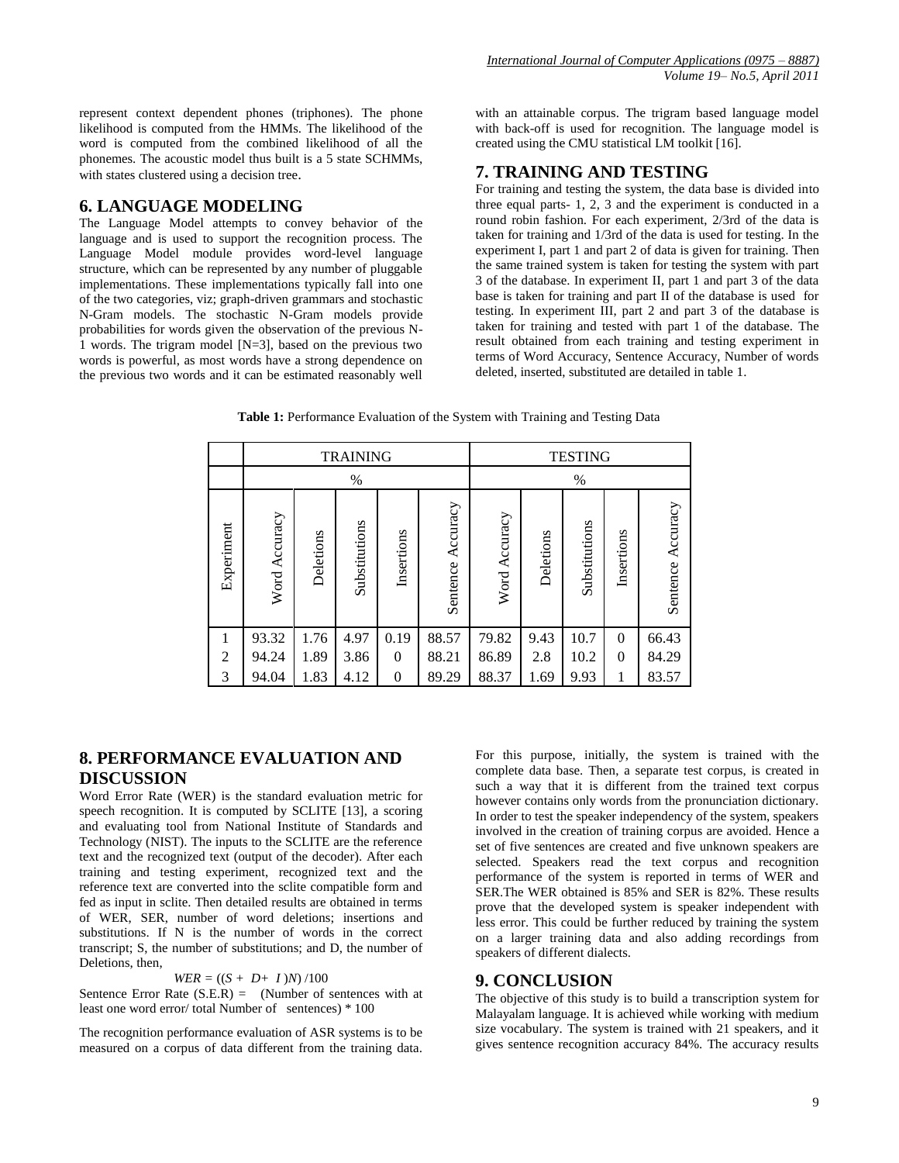represent context dependent phones (triphones). The phone likelihood is computed from the HMMs. The likelihood of the word is computed from the combined likelihood of all the phonemes. The acoustic model thus built is a 5 state SCHMMs, with states clustered using a decision tree.

#### **6. LANGUAGE MODELING**

The Language Model attempts to convey behavior of the language and is used to support the recognition process. The Language Model module provides word-level language structure, which can be represented by any number of pluggable implementations. These implementations typically fall into one of the two categories, viz; graph-driven grammars and stochastic N-Gram models. The stochastic N-Gram models provide probabilities for words given the observation of the previous N-1 words. The trigram model [N=3], based on the previous two words is powerful, as most words have a strong dependence on the previous two words and it can be estimated reasonably well with an attainable corpus. The trigram based language model with back-off is used for recognition. The language model is created using the CMU statistical LM toolkit [16].

## **7. TRAINING AND TESTING**

For training and testing the system, the data base is divided into three equal parts- 1, 2, 3 and the experiment is conducted in a round robin fashion. For each experiment, 2/3rd of the data is taken for training and 1/3rd of the data is used for testing. In the experiment I, part 1 and part 2 of data is given for training. Then the same trained system is taken for testing the system with part 3 of the database. In experiment II, part 1 and part 3 of the data base is taken for training and part II of the database is used for testing. In experiment III, part 2 and part 3 of the database is taken for training and tested with part 1 of the database. The result obtained from each training and testing experiment in terms of Word Accuracy, Sentence Accuracy, Number of words deleted, inserted, substituted are detailed in table 1.

**Table 1:** Performance Evaluation of the System with Training and Testing Data

|                | <b>TRAINING</b>  |           |               |                |                   | <b>TESTING</b> |           |               |                |                   |
|----------------|------------------|-----------|---------------|----------------|-------------------|----------------|-----------|---------------|----------------|-------------------|
|                | $\%$             |           |               |                |                   | $\%$           |           |               |                |                   |
| Experiment     | Accuracy<br>Word | Deletions | Substitutions | Insertions     | Sentence Accuracy | Word Accuracy  | Deletions | Substitutions | Insertions     | Sentence Accuracy |
|                | 93.32            | 1.76      | 4.97          | 0.19           | 88.57             | 79.82          | 9.43      | 10.7          | $\overline{0}$ | 66.43             |
| $\overline{2}$ | 94.24            | 1.89      | 3.86          | $\theta$       | 88.21             | 86.89          | 2.8       | 10.2          | $\theta$       | 84.29             |
| 3              | 94.04            | 1.83      | 4.12          | $\overline{0}$ | 89.29             | 88.37          | 1.69      | 9.93          | 1              | 83.57             |

## **8. PERFORMANCE EVALUATION AND DISCUSSION**

Word Error Rate (WER) is the standard evaluation metric for speech recognition. It is computed by SCLITE [13], a scoring and evaluating tool from National Institute of Standards and Technology (NIST). The inputs to the SCLITE are the reference text and the recognized text (output of the decoder). After each training and testing experiment, recognized text and the reference text are converted into the sclite compatible form and fed as input in sclite. Then detailed results are obtained in terms of WER, SER, number of word deletions; insertions and substitutions. If N is the number of words in the correct transcript; S, the number of substitutions; and D, the number of Deletions, then,

#### $WER = ((S + D + I)N)/100$

Sentence Error Rate  $(S.E.R) =$  (Number of sentences with at least one word error/ total Number of sentences) \* 100

The recognition performance evaluation of ASR systems is to be measured on a corpus of data different from the training data. For this purpose, initially, the system is trained with the complete data base. Then, a separate test corpus, is created in such a way that it is different from the trained text corpus however contains only words from the pronunciation dictionary. In order to test the speaker independency of the system, speakers involved in the creation of training corpus are avoided. Hence a set of five sentences are created and five unknown speakers are selected. Speakers read the text corpus and recognition performance of the system is reported in terms of WER and SER.The WER obtained is 85% and SER is 82%. These results prove that the developed system is speaker independent with less error. This could be further reduced by training the system on a larger training data and also adding recordings from speakers of different dialects.

#### **9. CONCLUSION**

The objective of this study is to build a transcription system for Malayalam language. It is achieved while working with medium size vocabulary. The system is trained with 21 speakers, and it gives sentence recognition accuracy 84%. The accuracy results